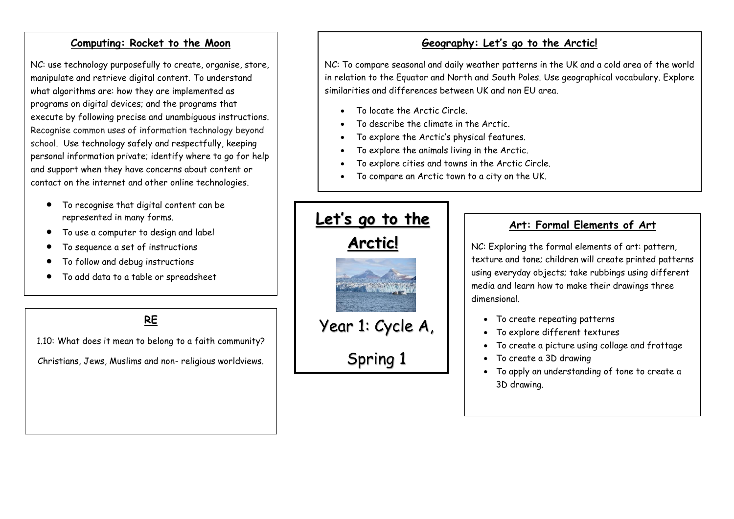### **Computing: Rocket to the Moon**

NC: use technology purposefully to create, organise, store, manipulate and retrieve digital content. To understand what algorithms are: how they are implemented as programs on digital devices; and the programs that execute by following precise and unambiguous instructions. Recognise common uses of information technology beyond school. Use technology safely and respectfully, keeping personal information private; identify where to go for help and support when they have concerns about content or contact on the internet and other online technologies.

- To recognise that digital content can be represented in many forms.
- To use a computer to design and label
- To sequence a set of instructions
- To follow and debug instructions
- To add data to a table or spreadsheet

**RE**

1.10: What does it mean to belong to a faith community?

Christians, Jews, Muslims and non- religious worldviews.

# **Geography: Let's go to the Arctic!**

NC: To compare seasonal and daily weather patterns in the UK and a cold area of the world in relation to the Equator and North and South Poles. Use geographical vocabulary. Explore similarities and differences between UK and non EU area.

- To locate the Arctic Circle.
- To describe the climate in the Arctic.
- To explore the Arctic's physical features.
- To explore the animals living in the Arctic.
- To explore cities and towns in the Arctic Circle.
- To compare an Arctic town to a city on the UK.



# **Art: Formal Elements of Art**

NC: Exploring the formal elements of art: pattern, texture and tone; children will create printed patterns using everyday objects; take rubbings using different media and learn how to make their drawings three dimensional.

- To create repeating patterns
- To explore different textures
- To create a picture using collage and frottage
- To create a 3D drawing
- To apply an understanding of tone to create a 3D drawing.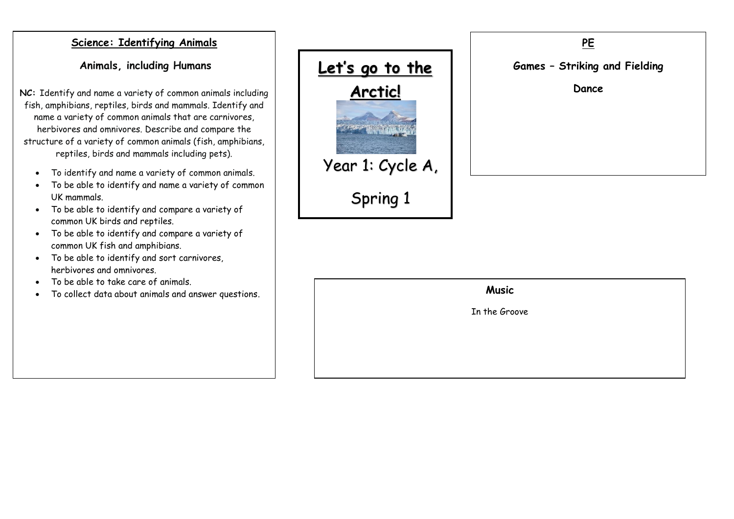### **Science: Identifying Animals**

**Animals, including Humans**

**NC:** Identify and name a variety of common animals including fish, amphibians, reptiles, birds and mammals. Identify and name a variety of common animals that are carnivores, herbivores and omnivores. Describe and compare the structure of a variety of common animals (fish, amphibians, reptiles, birds and mammals including pets).

- To identify and name a variety of common animals.
- To be able to identify and name a variety of common UK mammals.
- To be able to identify and compare a variety of common UK birds and reptiles.
- To be able to identify and compare a variety of common UK fish and amphibians.
- To be able to identify and sort carnivores, herbivores and omnivores.
- To be able to take care of animals.
- To collect data about animals and answer questions.





#### **Music**

In the Groove